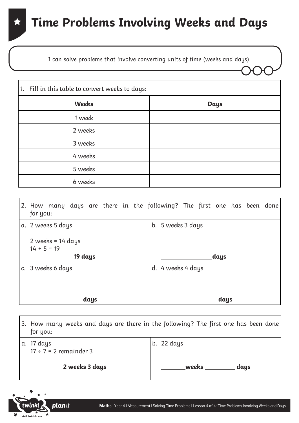I can solve problems that involve converting units of time (weeks and days).

| 1. Fill in this table to convert weeks to days: |             |
|-------------------------------------------------|-------------|
| <b>Weeks</b>                                    | <b>Days</b> |
| 1 week                                          |             |
| 2 weeks                                         |             |
| 3 weeks                                         |             |
| 4 weeks                                         |             |
| 5 weeks                                         |             |
| 6 weeks                                         |             |

| for you:                                        | 2. How many days are there in the following? The first one has been done |
|-------------------------------------------------|--------------------------------------------------------------------------|
| a. 2 weeks 5 days                               | b. 5 weeks 3 days                                                        |
| 2 weeks = $14$ days<br>$14 + 5 = 19$<br>19 days | days                                                                     |
| c. $\,$ 3 weeks 6 days                          | d. 4 weeks 4 days                                                        |
|                                                 |                                                                          |
| days                                            | days                                                                     |

| for you:                                  | 3. How many weeks and days are there in the following? The first one has been done |
|-------------------------------------------|------------------------------------------------------------------------------------|
| a. 17 days<br>$17 \div 7 = 2$ remainder 3 | b. $22 \text{ days}$                                                               |
| 2 weeks 3 days                            | weeks<br>days                                                                      |

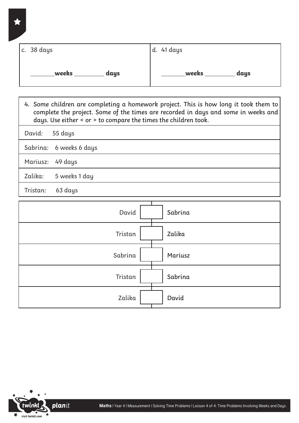| c. $38 \text{ days}$ | d. 41 days |
|----------------------|------------|
| weeks                | weeks      |
| days                 | days       |

4. Some children are completing a homework project. This is how long it took them to complete the project. Some of the times are recorded in days and some in weeks and days. Use either < or > to compare the times the children took.

David: 55 days

Sabrina: 6 weeks 6 days

Mariusz: 49 days

Zalika: 5 weeks 1 day

Tristan: 63 days

| Sabrina<br>David   |
|--------------------|
| Tristan<br>Zalika  |
| Sabrina<br>Mariusz |
| Sabrina<br>Tristan |
| David<br>Zalika    |

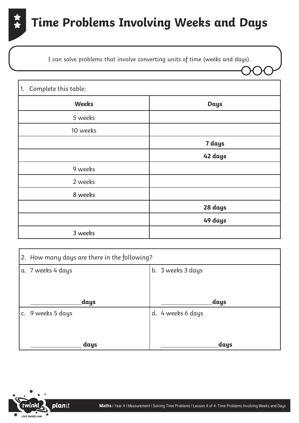

I can solve problems that involve converting units of time (weeks and days).

| Complete this table:<br>1. |             |
|----------------------------|-------------|
| Weeks                      | <b>Days</b> |
| 5 weeks                    |             |
| 10 weeks                   |             |
|                            | 7 days      |
|                            | 42 days     |
| 9 weeks                    |             |
| 2 weeks                    |             |
| 8 weeks                    |             |
|                            | 28 days     |
|                            | 49 days     |
| 3 weeks                    |             |

| 2. How many days are there in the following? |                   |  |  |  |
|----------------------------------------------|-------------------|--|--|--|
| a. 7 weeks 4 days                            | b. 3 weeks 3 days |  |  |  |
|                                              |                   |  |  |  |
| days                                         | days              |  |  |  |
| c. 9 weeks 5 days                            | d. 4 weeks 6 days |  |  |  |
| days                                         | days              |  |  |  |

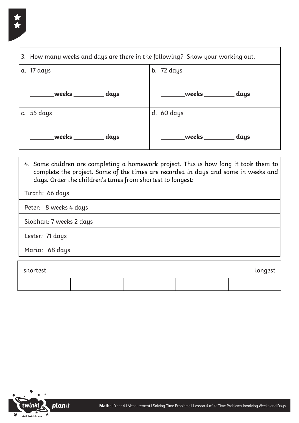

| 3. How many weeks and days are there in the following? Show your working out.                                                                                                                                                            |                      |            |                          |  |
|------------------------------------------------------------------------------------------------------------------------------------------------------------------------------------------------------------------------------------------|----------------------|------------|--------------------------|--|
| a. 17 days                                                                                                                                                                                                                               |                      | b. 72 days |                          |  |
|                                                                                                                                                                                                                                          |                      |            | weeks ________ days      |  |
| c. $55 \text{ days}$                                                                                                                                                                                                                     |                      | d. 60 days |                          |  |
|                                                                                                                                                                                                                                          | weeks _________ days |            | ____weeks _________ days |  |
| 4. Some children are completing a homework project. This is how long it took them to<br>complete the project. Some of the times are recorded in days and some in weeks and<br>days. Order the children's times from shortest to longest: |                      |            |                          |  |
| Tirath: 66 days                                                                                                                                                                                                                          |                      |            |                          |  |
| Peter: 8 weeks 4 days                                                                                                                                                                                                                    |                      |            |                          |  |
| Siobhan: 7 weeks 2 days                                                                                                                                                                                                                  |                      |            |                          |  |
| Lester: 71 days                                                                                                                                                                                                                          |                      |            |                          |  |
| Maria: 68 days                                                                                                                                                                                                                           |                      |            |                          |  |
| shortest<br>longest                                                                                                                                                                                                                      |                      |            |                          |  |
|                                                                                                                                                                                                                                          |                      |            |                          |  |

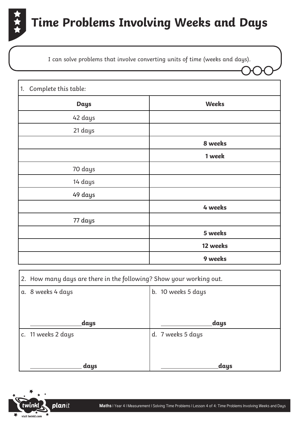

I can solve problems that involve converting units of time (weeks and days).

| Complete this table:<br>1. |          |
|----------------------------|----------|
| <b>Days</b>                | Weeks    |
| 42 days                    |          |
| 21 days                    |          |
|                            | 8 weeks  |
|                            | 1 week   |
| 70 days                    |          |
| 14 days                    |          |
| 49 days                    |          |
|                            | 4 weeks  |
| 77 days                    |          |
|                            | 5 weeks  |
|                            | 12 weeks |
|                            | 9 weeks  |

| 2. How many days are there in the following? Show your working out. |                   |  |  |  |
|---------------------------------------------------------------------|-------------------|--|--|--|
| b. 10 weeks 5 days<br>a. 8 weeks 4 days                             |                   |  |  |  |
|                                                                     |                   |  |  |  |
| _days                                                               | days              |  |  |  |
| c. 11 weeks 2 days                                                  | d. 7 weeks 5 days |  |  |  |
| days                                                                | <sub>.</sub> days |  |  |  |

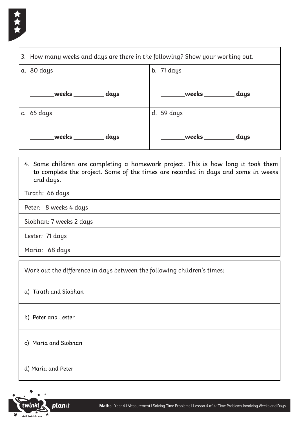

| 3. How many weeks and days are there in the following? Show your working out. |               |  |  |  |
|-------------------------------------------------------------------------------|---------------|--|--|--|
| a. 80 days                                                                    | b. 71 days    |  |  |  |
| weekservalle<br>days                                                          | days          |  |  |  |
| c. $65 \text{ days}$                                                          | d. 59 days    |  |  |  |
| weeks<br>days                                                                 | weeks<br>days |  |  |  |

- 4. Some children are completing a homework project. This is how long it took them to complete the project. Some of the times are recorded in days and some in weeks and days.
- Tirath: 66 days

Peter: 8 weeks 4 days

Siobhan: 7 weeks 2 days

Lester: 71 days

Maria: 68 days

Work out the difference in days between the following children's times:

## a) Tirath and Siobhan

b) Peter and Lester

c) Maria and Siobhan

d) Maria and Peter

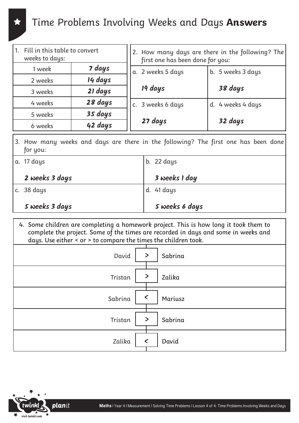## Time Problems Involving Weeks and Days **Answers**

| 1. Fill in this table to convert<br>weeks to days: |         | 2. How many days are there in the following? The<br>first one has been done for you: |  |                   |
|----------------------------------------------------|---------|--------------------------------------------------------------------------------------|--|-------------------|
| 1 week                                             | 7 days  | a. 2 weeks 5 days                                                                    |  | b. 5 weeks 3 days |
| 2 weeks                                            | 14 days |                                                                                      |  |                   |
| 3 weeks                                            | 21 days | 19 days                                                                              |  | 38 days           |
| 4 weeks                                            | 28 days | c. 3 weeks 6 days                                                                    |  | d. 4 weeks 4 days |
| 5 weeks                                            | 35 days |                                                                                      |  |                   |
| 6 weeks                                            | 42 days | 27 days                                                                              |  | 32 days           |

3. How many weeks and days are there in the following? The first one has been done for you:

| a. 17 days     | $b. 22 \text{ days}$ |
|----------------|----------------------|
| 2 weeks 3 days | 3 weeks I day        |
| c. 38 days     | d. 41 days           |
| Sweeks 3 days  | S weeks 6 days       |

4. Some children are completing a homework project. This is how long it took them to complete the project. Some of the times are recorded in days and some in weeks and days. Use either < or > to compare the times the children took.

| $\,>$<br>David<br>Sabrina                                         |
|-------------------------------------------------------------------|
| $\qquad \qquad \blacktriangleright$<br>Zalika<br>Tristan          |
| $\textcolor{red}{\textstyle\boldsymbol{<}}$<br>Sabrina<br>Mariusz |
| $\geq$<br>Sabrina<br>Tristan                                      |
| Zalika<br>$\checkmark$<br>David                                   |

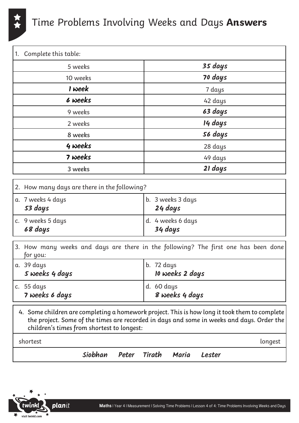

## Time Problems Involving Weeks and Days **Answers**

| Complete this table:<br>1. |         |  |
|----------------------------|---------|--|
| 5 weeks                    | 35 days |  |
| 10 weeks                   | 70 days |  |
| I week                     | 7 days  |  |
| 6 weeks                    | 42 days |  |
| 9 weeks                    | 63 days |  |
| 2 weeks                    | 14 days |  |
| 8 weeks                    | 56 days |  |
| 4 weeks                    | 28 days |  |
| 7 weeks                    | 49 days |  |
| 3 weeks                    | 21 days |  |

| 2. How many days are there in the following? |  |                              |
|----------------------------------------------|--|------------------------------|
| a. 7 weeks 4 days<br>53 days                 |  | b. 3 weeks 3 days<br>24 days |
| c. 9 weeks 5 days<br>68 days                 |  | d. 4 weeks 6 days<br>34 days |

| for you:                               | [3. How many weeks and days are there in the following? The first one has been done] |
|----------------------------------------|--------------------------------------------------------------------------------------|
| a. 39 days<br>Sweeks 4 days            | lb. 72 days<br><b>10 weeks 2 days</b>                                                |
| c. $55 \text{ days}$<br>7 weeks 6 days | d. 60 days<br>8 weeks 4 days                                                         |

| 4. Some children are completing a homework project. This is how long it took them to complete<br>the project. Some of the times are recorded in days and some in weeks and days. Order the |         |
|--------------------------------------------------------------------------------------------------------------------------------------------------------------------------------------------|---------|
| children's times from shortest to longest:                                                                                                                                                 |         |
| shortest                                                                                                                                                                                   | longest |
|                                                                                                                                                                                            |         |